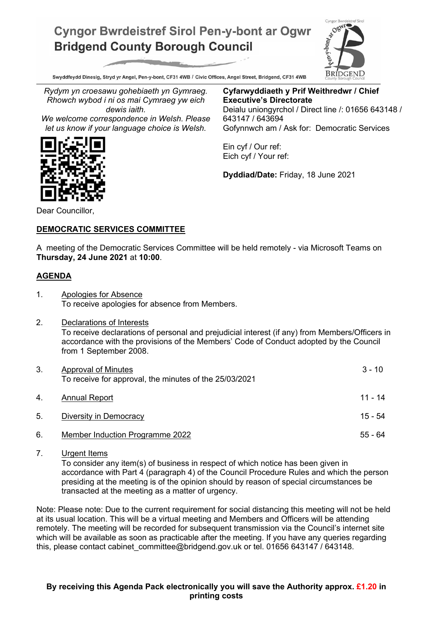## **Cyngor Bwrdeistref Sirol Pen-y-bont ar Ogwr Bridgend County Borough Council**



Swyddfeydd Dinesig, Stryd yr Angel, Pen-y-bont, CF31 4WB / Civic Offices, Angel Street, Bridgend, CF31 4WB

*Rydym yn croesawu gohebiaeth yn Gymraeg. Rhowch wybod i ni os mai Cymraeg yw eich dewis iaith.*

*We welcome correspondence in Welsh. Please let us know if your language choice is Welsh.*

**Cyfarwyddiaeth y Prif Weithredwr / Chief Executive's Directorate** Deialu uniongyrchol / Direct line /: 01656 643148 / 643147 / 643694 Gofynnwch am / Ask for: Democratic Services

Ein cyf / Our ref: Eich cyf / Your ref:

**Dyddiad/Date:** Friday, 18 June 2021

Dear Councillor,

## **DEMOCRATIC SERVICES COMMITTEE**

A meeting of the Democratic Services Committee will be held remotely - via Microsoft Teams on **Thursday, 24 June 2021** at **10:00**.

## **AGENDA**

- 1. Apologies for Absence To receive apologies for absence from Members.
- 2. Declarations of Interests To receive declarations of personal and prejudicial interest (if any) from Members/Officers in accordance with the provisions of the Members' Code of Conduct adopted by the Council from 1 September 2008.

| 3. | <b>Approval of Minutes</b><br>To receive for approval, the minutes of the 25/03/2021 | $3 - 10$  |
|----|--------------------------------------------------------------------------------------|-----------|
| 4. | <b>Annual Report</b>                                                                 | 11 - 14   |
| 5. | Diversity in Democracy                                                               | $15 - 54$ |
| 6. | Member Induction Programme 2022                                                      | 55 - 64   |

7. Urgent Items

To consider any item(s) of business in respect of which notice has been given in accordance with Part 4 (paragraph 4) of the Council Procedure Rules and which the person presiding at the meeting is of the opinion should by reason of special circumstances be transacted at the meeting as a matter of urgency.

Note: Please note: Due to the current requirement for social distancing this meeting will not be held at its usual location. This will be a virtual meeting and Members and Officers will be attending remotely. The meeting will be recorded for subsequent transmission via the Council's internet site which will be available as soon as practicable after the meeting. If you have any queries regarding this, please contact cabinet committee@bridgend.gov.uk or tel. 01656 643147 / 643148.